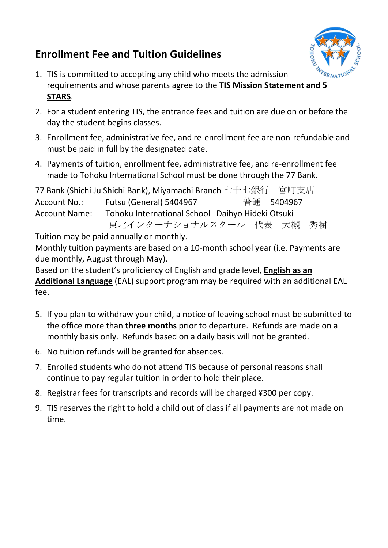# **Enrollment Fee and Tuition Guidelines**



- 1. TIS is committed to accepting any child who meets the admission requirements and whose parents agree to the **TIS Mission Statement and 5 STARS**.
- 2. For a student entering TIS, the entrance fees and tuition are due on or before the day the student begins classes.
- 3. Enrollment fee, administrative fee, and re-enrollment fee are non-refundable and must be paid in full by the designated date.
- 4. Payments of tuition, enrollment fee, administrative fee, and re-enrollment fee made to Tohoku International School must be done through the 77 Bank.

|                      | 77 Bank (Shichi Ju Shichi Bank), Miyamachi Branch 七十七銀行 宮町支店 |  |            |  |
|----------------------|--------------------------------------------------------------|--|------------|--|
| Account No.:         | Futsu (General) 5404967                                      |  | 普通 5404967 |  |
| <b>Account Name:</b> | Tohoku International School Daihyo Hideki Otsuki             |  |            |  |
|                      | 東北インターナショナルスクール 代表 大槻 秀樹                                     |  |            |  |
|                      |                                                              |  |            |  |

Tuition may be paid annually or monthly.

Monthly tuition payments are based on a 10-month school year (i.e. Payments are due monthly, August through May).

Based on the student's proficiency of English and grade level, **English as an Additional Language** (EAL) support program may be required with an additional EAL fee.

- 5. If you plan to withdraw your child, a notice of leaving school must be submitted to the office more than **three months** prior to departure. Refunds are made on a monthly basis only. Refunds based on a daily basis will not be granted.
- 6. No tuition refunds will be granted for absences.
- 7. Enrolled students who do not attend TIS because of personal reasons shall continue to pay regular tuition in order to hold their place.
- 8. Registrar fees for transcripts and records will be charged ¥300 per copy.
- 9. TIS reserves the right to hold a child out of class if all payments are not made on time.